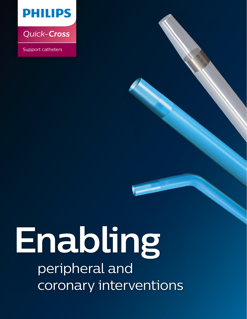

*Quick-Cross*

Support catheters

# **Enabling** peripheral and coronary interventions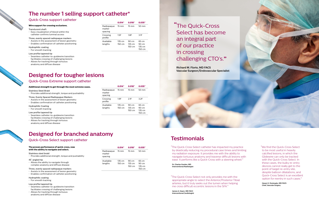"The Quick-Cross Select catheter has impacted my practice by drastically reducing my procedural case times and limiting my radiation exposure. It provides me with the ability to navigate tortuous anatomy and traverse difficult lesions with ease. It performs like a Quick-Cross with a steering wheel."

**Dr. Charles Gordon, MD Interventional Radiologist**

"The Quick-Cross Select not only provides me with the appropriate angle to select the Anterior/Posterior Tibial arteries, but it truly seeks out the lumen when helping me cross difficult eccentric lesions in the SFA."

**James A. Hearn, MD FACC Interventional Cardiologist**

"We find the Quick-Cross Select to be most useful in heavily calcified lesions, in which the Glidewire can only be tracked with the Quick-Cross Select. In these cases, the bulky re-entry devices cannot really get to the point of target re-entry site, despite balloon dilatations, and Quick-Cross Select is an excellent option for reentry in such cases."

**Hasan H. Dosluoglu, MD FACS Chief, Vascular Surgery**

## **Testimonials**

# Select has become of our practice



## Quick-Cross support catheter

## Quick-Cross Select support catheter

#### **The proven performance of quick-cross, now with the ability to navigate and select.**

## Stainless steel braid

• Provides additional strength, torque and pushability

#### 45˚ angled tip

• Allows the ability to navigate through complex anatomy and diffuse disease

#### Three, evenly spaced radiopaque markers

- Assists in the assessment of lesion geometry
- Enables confirmation of catheter positioning

### Hydrophilic coating

## • For smooth tracking

## Low profile tapered tip

- Seamless catheter-to-guidewire transition facilitates crossing of challenging lesions
- Allows for tracking through tortuous anatomy and diffuse disease

### **Wire support for crossing occlusions.**

#### Translucent shaft

- Easy visualization of blood within the catheter confirms luminal access
- Three, evenly spaced radiopaque markers
- Assists in the assessment of lesion geometry
- Enables confirmation of catheter positioning

## Hydrophilic coating

• For smooth tracking

## Low profile tapered tip

- Seamless catheter-to-guidewire transition facilitates crossing of challenging lesions
- Allows for tracking through tortuous anatomy and diffuse disease

# **The number 1 selling support catheter\***

## **Designed for branched anatomy**

**0.014" 0.018" 0.035"**

Radiopaque marker spacing

15 mm 15 mm 50 mm

Crossing profile

1.5F 1.8F 3.1F

Available lengths

135 cm 150 cm

90 cm 135 cm 150 cm 65 cm 90 cm 135 cm 150 cm

## Quick-Cross Extreme support catheter

## **Additional strength to get through the most extreme cases.**

### Stainless Steel Braid

• Provides additional strength, torque and pushability

## Three, Evenly Spaced Radiopaque Markers

- Assists in the assessment of lesion geometry
- Enables confirmation of catheter positioning

## Hydrophilic Coating

• For smooth tracking

#### Low profile tapered tip

- Seamless catheter-to-guidewire transition
- facilitates crossing of challenging lesions
- Allows for tracking through tortuous anatomy and diffuse disease

# **Designed for tougher lesions**

| IN.                             |                 |                 |                 |
|---------------------------------|-----------------|-----------------|-----------------|
|                                 | 0.014"          | 0.018"          | 0.035"          |
| Radiopaque<br>marker<br>spacing | $15 \text{ mm}$ | $15 \text{ mm}$ | $50 \text{ mm}$ |
| Crossing<br>profile             | 1.9F            | 2 1F            | 3.2F            |
| Available                       | 135 cm          | 90<br>cm        | 65 cm           |

lengths

150 cm

135 cm 150 cm 90 cm 135 cm 150 cm

|                                 | 0.014"          | 0.018"            | 0.035"            |
|---------------------------------|-----------------|-------------------|-------------------|
| Radiopaque<br>marker<br>spacing | $15 \text{ mm}$ | $15 \text{ mm}$   | $50 \text{ mm}$   |
| Available                       | 135 cm          | $90 \, \text{cm}$ | 65 cm             |
| lengths                         | 150 cm          | $135 \text{ cm}$  | $90 \, \text{cm}$ |
|                                 |                 | 150 cm            | $135 \text{ cm}$  |
|                                 |                 |                   | 150 cm            |